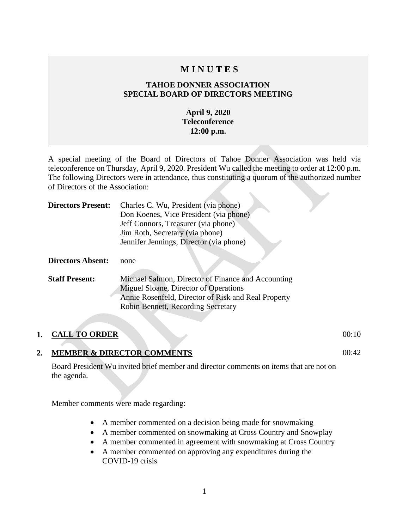## **M I N U T E S**

### **TAHOE DONNER ASSOCIATION SPECIAL BOARD OF DIRECTORS MEETING**

### **April 9, 2020 Teleconference 12:00 p.m.**

A special meeting of the Board of Directors of Tahoe Donner Association was held via teleconference on Thursday, April 9, 2020. President Wu called the meeting to order at 12:00 p.m. The following Directors were in attendance, thus constituting a quorum of the authorized number of Directors of the Association:

| <b>Directors Present:</b> | Charles C. Wu, President (via phone)                |
|---------------------------|-----------------------------------------------------|
|                           | Don Koenes, Vice President (via phone)              |
|                           | Jeff Connors, Treasurer (via phone)                 |
|                           | Jim Roth, Secretary (via phone)                     |
|                           | Jennifer Jennings, Director (via phone)             |
|                           |                                                     |
| <b>Directors Absent:</b>  | none                                                |
|                           |                                                     |
| <b>Staff Present:</b>     | Michael Salmon, Director of Finance and Accounting  |
|                           | Miguel Sloane, Director of Operations               |
|                           | Annie Rosenfeld, Director of Risk and Real Property |
|                           | Robin Bennett, Recording Secretary                  |
|                           |                                                     |

### **1. CALL TO ORDER** 00:10

00:42

### **2. MEMBER & DIRECTOR COMMENTS**

Board President Wu invited brief member and director comments on items that are not on the agenda.

Member comments were made regarding:

- A member commented on a decision being made for snowmaking
- A member commented on snowmaking at Cross Country and Snowplay
- A member commented in agreement with snowmaking at Cross Country
- A member commented on approving any expenditures during the COVID-19 crisis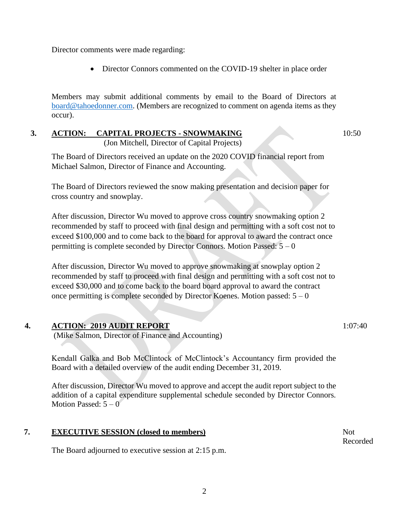Director comments were made regarding:

• Director Connors commented on the COVID-19 shelter in place order

Members may submit additional comments by email to the Board of Directors at [board@tahoedonner.com.](mailto:board@tahoedonner.com) (Members are recognized to comment on agenda items as they occur).

# **3. ACTION: CAPITAL PROJECTS - SNOWMAKING**

(Jon Mitchell, Director of Capital Projects)

10:50

The Board of Directors received an update on the 2020 COVID financial report from Michael Salmon, Director of Finance and Accounting.

The Board of Directors reviewed the snow making presentation and decision paper for cross country and snowplay.

After discussion, Director Wu moved to approve cross country snowmaking option 2 recommended by staff to proceed with final design and permitting with a soft cost not to exceed \$100,000 and to come back to the board for approval to award the contract once permitting is complete seconded by Director Connors. Motion Passed:  $5 - 0$ 

After discussion, Director Wu moved to approve snowmaking at snowplay option 2 recommended by staff to proceed with final design and permitting with a soft cost not to exceed \$30,000 and to come back to the board board approval to award the contract once permitting is complete seconded by Director Koenes. Motion passed:  $5 - 0$ 

### **4. ACTION: 2019 AUDIT REPORT**

(Mike Salmon, Director of Finance and Accounting)

Kendall Galka and Bob McClintock of McClintock's Accountancy firm provided the Board with a detailed overview of the audit ending December 31, 2019.

After discussion, Director Wu moved to approve and accept the audit report subject to the addition of a capital expenditure supplemental schedule seconded by Director Connors. Motion Passed:  $5 - 0$ 

### **7. EXECUTIVE SESSION (closed to members)**

The Board adjourned to executive session at 2:15 p.m.

Not Recorded

1:07:40